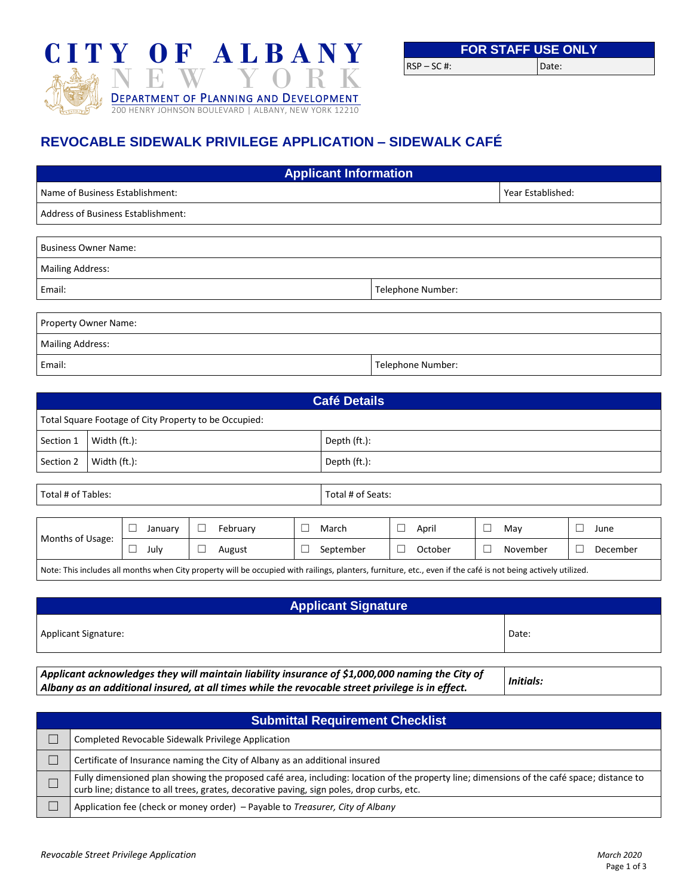

|              | <b>FOR STAFF USE ONLY</b> |       |
|--------------|---------------------------|-------|
| RSP – SC #:- |                           | Date: |

# **REVOCABLE SIDEWALK PRIVILEGE APPLICATION – SIDEWALK CAFÉ**

| <b>Applicant Information</b>              |                   |                   |  |  |  |  |
|-------------------------------------------|-------------------|-------------------|--|--|--|--|
| Name of Business Establishment:           |                   | Year Established: |  |  |  |  |
| <b>Address of Business Establishment:</b> |                   |                   |  |  |  |  |
|                                           |                   |                   |  |  |  |  |
| <b>Business Owner Name:</b>               |                   |                   |  |  |  |  |
| <b>Mailing Address:</b>                   |                   |                   |  |  |  |  |
| Email:                                    | Telephone Number: |                   |  |  |  |  |
|                                           |                   |                   |  |  |  |  |
| Property Owner Name:                      |                   |                   |  |  |  |  |
| <b>Mailing Address:</b>                   |                   |                   |  |  |  |  |
| Email:                                    | Telephone Number: |                   |  |  |  |  |

| <b>Café Details</b>                                                                                                                                           |              |  |         |  |              |  |           |  |         |  |          |  |          |
|---------------------------------------------------------------------------------------------------------------------------------------------------------------|--------------|--|---------|--|--------------|--|-----------|--|---------|--|----------|--|----------|
| Total Square Footage of City Property to be Occupied:                                                                                                         |              |  |         |  |              |  |           |  |         |  |          |  |          |
| Section 1                                                                                                                                                     | Width (ft.): |  |         |  | Depth (ft.): |  |           |  |         |  |          |  |          |
| Section 2                                                                                                                                                     | Width (ft.): |  |         |  | Depth (ft.): |  |           |  |         |  |          |  |          |
|                                                                                                                                                               |              |  |         |  |              |  |           |  |         |  |          |  |          |
| Total # of Tables:<br>Total # of Seats:                                                                                                                       |              |  |         |  |              |  |           |  |         |  |          |  |          |
|                                                                                                                                                               |              |  |         |  |              |  |           |  |         |  |          |  |          |
|                                                                                                                                                               |              |  | January |  | February     |  | March     |  | April   |  | May      |  | June     |
| Months of Usage:                                                                                                                                              |              |  | July    |  | August       |  | September |  | October |  | November |  | December |
| Note: This includes all months when City property will be occupied with railings, planters, furniture, etc., even if the café is not being actively utilized. |              |  |         |  |              |  |           |  |         |  |          |  |          |

| <b>Applicant Signature</b>  |       |  |  |  |  |
|-----------------------------|-------|--|--|--|--|
| <b>Applicant Signature:</b> | Date: |  |  |  |  |
|                             |       |  |  |  |  |

*Applicant acknowledges they will maintain liability insurance of \$1,000,000 naming the City of Albany as an additional insured, at all times while the revocable street privilege is in effect. Initials:*

| <b>Submittal Requirement Checklist</b> |                                                                                                                                                                                                                                         |  |  |  |  |  |
|----------------------------------------|-----------------------------------------------------------------------------------------------------------------------------------------------------------------------------------------------------------------------------------------|--|--|--|--|--|
|                                        | Completed Revocable Sidewalk Privilege Application                                                                                                                                                                                      |  |  |  |  |  |
|                                        | Certificate of Insurance naming the City of Albany as an additional insured                                                                                                                                                             |  |  |  |  |  |
|                                        | Fully dimensioned plan showing the proposed café area, including: location of the property line; dimensions of the café space; distance to<br>curb line; distance to all trees, grates, decorative paving, sign poles, drop curbs, etc. |  |  |  |  |  |
|                                        | Application fee (check or money order) - Payable to Treasurer, City of Albany                                                                                                                                                           |  |  |  |  |  |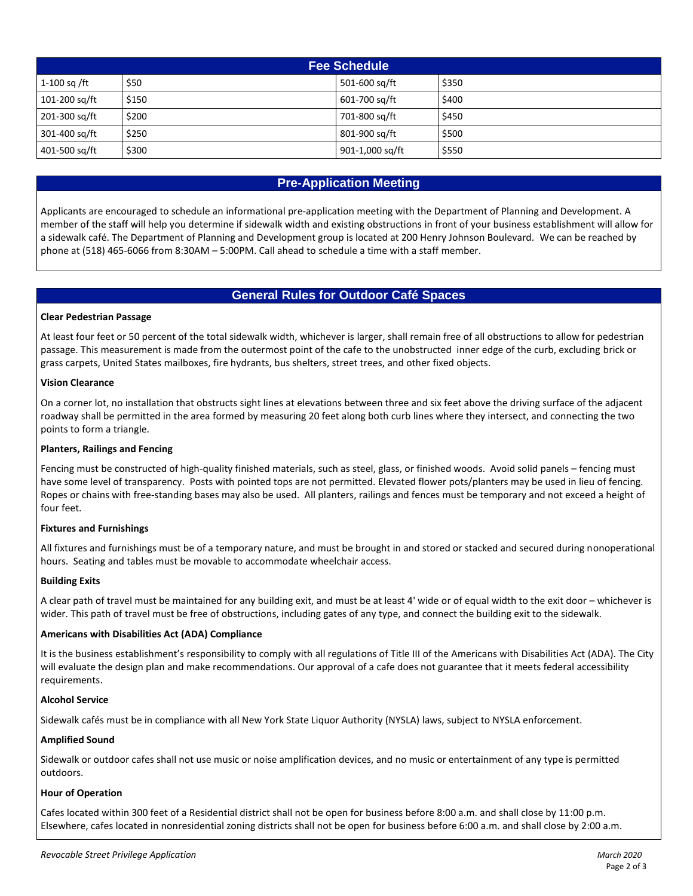| <b>Fee Schedule</b> |       |                 |       |  |  |  |
|---------------------|-------|-----------------|-------|--|--|--|
| 1-100 sq/ft         | \$50  | 501-600 sq/ft   | \$350 |  |  |  |
| 101-200 sq/ft       | \$150 | 601-700 sq/ft   | \$400 |  |  |  |
| 201-300 sq/ft       | \$200 | 701-800 sg/ft   | \$450 |  |  |  |
| 301-400 sq/ft       | \$250 | 801-900 sa/ft   | \$500 |  |  |  |
| 401-500 sq/ft       | \$300 | 901-1,000 sq/ft | \$550 |  |  |  |

# **Pre-Application Meeting**

Applicants are encouraged to schedule an informational pre-application meeting with the Department of Planning and Development. A member of the staff will help you determine if sidewalk width and existing obstructions in front of your business establishment will allow for a sidewalk café. The Department of Planning and Development group is located at 200 Henry Johnson Boulevard. We can be reached by phone at (518) 465-6066 from 8:30AM – 5:00PM. Call ahead to schedule a time with a staff member.

# **General Rules for Outdoor Café Spaces**

# **Clear Pedestrian Passage**

At least four feet or 50 percent of the total sidewalk width, whichever is larger, shall remain free of all obstructions to allow for pedestrian passage. This measurement is made from the outermost point of the cafe to the unobstructed inner edge of the curb, excluding brick or grass carpets, United States mailboxes, fire hydrants, bus shelters, street trees, and other fixed objects.

# **Vision Clearance**

On a corner lot, no installation that obstructs sight lines at elevations between three and six feet above the driving surface of the adjacent roadway shall be permitted in the area formed by measuring 20 feet along both curb lines where they intersect, and connecting the two points to form a triangle.

#### **Planters, Railings and Fencing**

Fencing must be constructed of high-quality finished materials, such as steel, glass, or finished woods. Avoid solid panels – fencing must have some level of transparency. Posts with pointed tops are not permitted. Elevated flower pots/planters may be used in lieu of fencing. Ropes or chains with free-standing bases may also be used. All planters, railings and fences must be temporary and not exceed a height of four feet.

# **Fixtures and Furnishings**

All fixtures and furnishings must be of a temporary nature, and must be brought in and stored or stacked and secured during nonoperational hours. Seating and tables must be movable to accommodate wheelchair access.

#### **Building Exits**

A clear path of travel must be maintained for any building exit, and must be at least 4' wide or of equal width to the exit door – whichever is wider. This path of travel must be free of obstructions, including gates of any type, and connect the building exit to the sidewalk.

#### **Americans with Disabilities Act (ADA) Compliance**

It is the business establishment's responsibility to comply with all regulations of Title III of the Americans with Disabilities Act (ADA). The City will evaluate the design plan and make recommendations. Our approval of a cafe does not guarantee that it meets federal accessibility requirements.

#### **Alcohol Service**

Sidewalk cafés must be in compliance with all New York State Liquor Authority (NYSLA) laws, subject to NYSLA enforcement.

#### **Amplified Sound**

Sidewalk or outdoor cafes shall not use music or noise amplification devices, and no music or entertainment of any type is permitted outdoors.

#### **Hour of Operation**

Cafes located within 300 feet of a Residential district shall not be open for business before 8:00 a.m. and shall close by 11:00 p.m. Elsewhere, cafes located in nonresidential zoning districts shall not be open for business before 6:00 a.m. and shall close by 2:00 a.m.